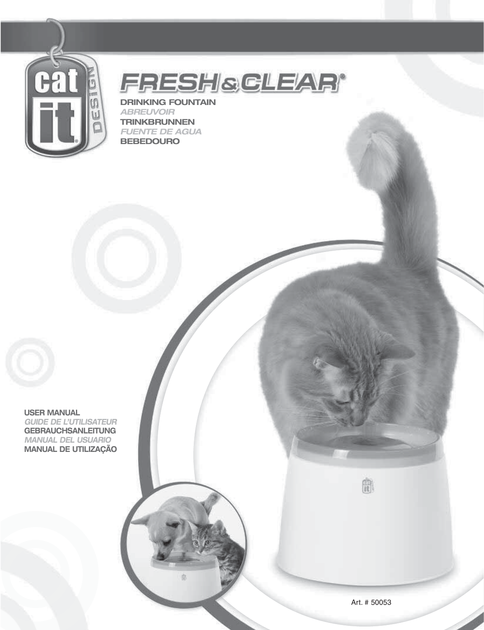

**FRESHSCLEAR®** 

**DRINKING FOUNTAIN** *ABREUVOIR* **TRINKBRUNNEN** *FUENTE DE AGUA* **BEBEDOURO**



**USER MANUAL** *GUIDE DE L'UTILISATEUR* **GEBRAUCHSANLEITUNG** *MANUAL DEL USUARIO* **MANUAL DE UTILIZAÇÃO**

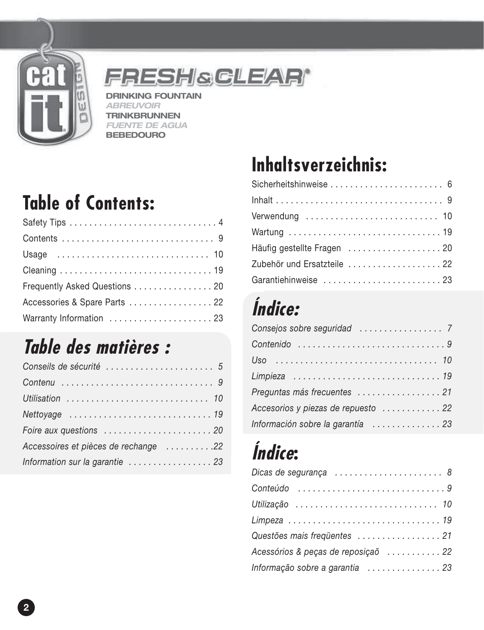

FRESHSCLEAR®

**DRINKING FOUNTAIN** *ABREUVOIR* **TRINKBRUNNEN** *FUENTE DE AGUA* **BEBEDOURO**

## **Table of Contents:**

| Frequently Asked Questions 20 |
|-------------------------------|
| Accessories & Spare Parts  22 |
| Warranty Information  23      |

## **Table des matières :**

| Utilisation  10                      |
|--------------------------------------|
|                                      |
|                                      |
| Accessoires et pièces de rechange 22 |
| Information sur la garantie  23      |

## **Inhaltsverzeichnis:**

| Sicherheitshinweise  6                                                  |
|-------------------------------------------------------------------------|
|                                                                         |
| Verwendung $\ldots \ldots \ldots \ldots \ldots \ldots \ldots \ldots$ 10 |
|                                                                         |
|                                                                         |
| Zubehör und Ersatzteile 22                                              |
| Garantiehinweise 23                                                     |

## **Índice:**

| Preguntas más frecuentes  21        |
|-------------------------------------|
| Accesorios y piezas de repuesto  22 |
| Información sobre la garantía  23   |

## **Índice:**

| Dicas de segurança  8               |
|-------------------------------------|
| Conteúdo 9                          |
| Utilização  10                      |
| Limpeza 19                          |
| Questões mais freqüentes  21        |
| Acessórios & peças de reposição  22 |
| Informação sobre a garantia 23      |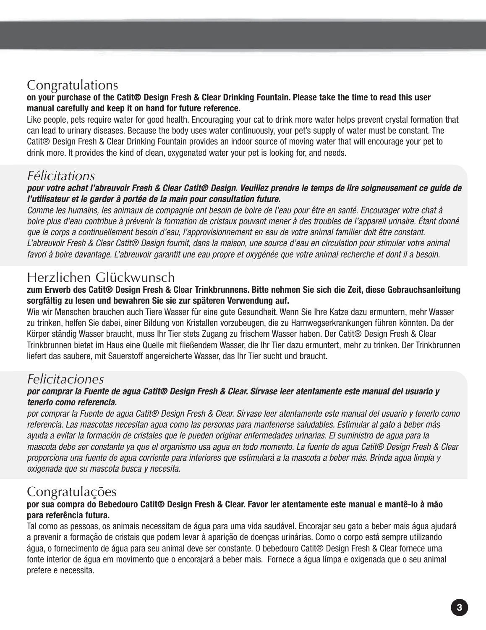#### **or the Confermations of the Catit® Design Fresh & Clear Drinking Fountain. Please take the time to read this user manual carefully and keep it on hand for future reference.**

Like people, pets require water for good health. Encouraging your cat to drink more water helps prevent crystal formation that can lead to urinary diseases. Because the body uses water continuously, your pet's supply of water must be constant. The Catit® Design Fresh & Clear Drinking Fountain provides an indoor source of moving water that will encourage your pet to drink more. It provides the kind of clean, oxygenated water your pet is looking for, and needs.

#### *Félicitations*

#### *pour votre achat l'abreuvoir Fresh & Clear Catit® Design. Veuillez prendre le temps de lire soigneusement ce guide de l'utilisateur et le garder à portée de la main pour consultation future.*

Comme les humains, les animaux de compagnie ont besoin de boire de l'eau pour être en santé. Encourager votre chat à boire plus d'eau contribue à prévenir la formation de cristaux pouvant mener à des troubles de l'appareil urinaire. Étant donné que le corps a continuellement besoin d'eau, l'approvisionnement en eau de votre animal familier doit être constant. L'abreuvoir Fresh & Clear Catit® Design fournit, dans la maison, une source d'eau en circulation pour stimuler votre animal favori à boire davantage. L'abreuvoir garantit une eau propre et oxygénée que votre animal recherche et dont il a besoin.

#### Herzlichen Glückwunsch

#### .<br>zum Erwerb des Catit® Design Fresh & Clear Trinkbrunnens. Bitte nehmen Sie sich die Zeit, diese Gebrauchsanleitung **sorgfältig zu lesen und bewahren Sie sie zur späteren Verwendung auf.**

Wie wir Menschen brauchen auch Tiere Wasser für eine gute Gesundheit. Wenn Sie Ihre Katze dazu ermuntern, mehr Wasser zu trinken, helfen Sie dabei, einer Bildung von Kristallen vorzubeugen, die zu Harnwegserkrankungen führen könnten. Da der Körper ständig Wasser braucht, muss Ihr Tier stets Zugang zu frischem Wasser haben. Der Catit® Design Fresh & Clear Trinkbrunnen bietet im Haus eine Quelle mit fließendem Wasser, die Ihr Tier dazu ermuntert, mehr zu trinken. Der Trinkbrunnen liefert das saubere, mit Sauerstoff angereicherte Wasser, das Ihr Tier sucht und braucht.

#### *Felicitaciones*

#### *por comprar la Fuente de agua Catit® Design Fresh & Clear. Sírvase leer atentamente este manual del usuario y tenerlo como referencia.*

por comprar la Fuente de agua Catit® Design Fresh & Clear. Sírvase leer atentamente este manual del usuario y tenerlo como referencia. Las mascotas necesitan agua como las personas para mantenerse saludables. Estimular al gato a beber más ayuda a evitar la formación de cristales que le pueden originar enfermedades urinarias. El suministro de agua para la mascota debe ser constante ya que el organismo usa agua en todo momento. La fuente de agua Catit® Design Fresh & Clear proporciona una fuente de agua corriente para interiores que estimulará a la mascota a beber más. Brinda agua limpia y oxigenada que su mascota busca y necesita.

#### Congratulações **por sua compra do Bebedouro Catit® Design Fresh & Clear. Favor ler atentamente este manual e mantê-lo à mão para referência futura.**

Tal como as pessoas, os animais necessitam de água para uma vida saudável. Encorajar seu gato a beber mais água ajudará a prevenir a formação de cristais que podem levar à aparição de doenças urinárias. Como o corpo está sempre utilizando água, o fornecimento de água para seu animal deve ser constante. O bebedouro Catit® Design Fresh & Clear fornece uma fonte interior de água em movimento que o encorajará a beber mais. Fornece a água límpa e oxigenada que o seu animal prefere e necessita.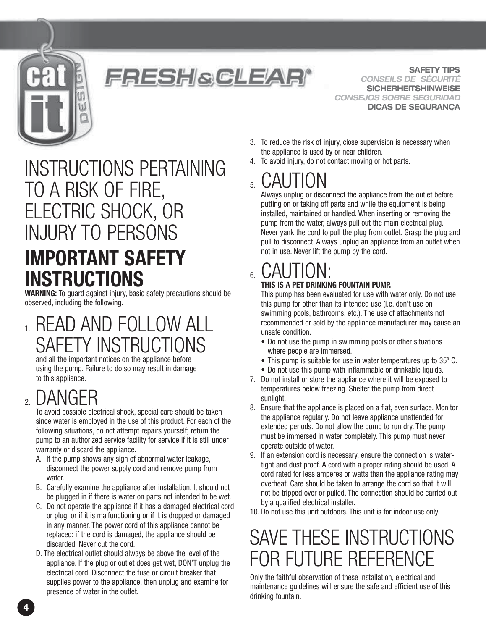

#### FRESH&GLEAR®

**SAFETY TIPS** *CONSEILS DE SÉCURITÉ* **SICHERHEITSHINWEISE** *CONSEJOS SOBRE SEGURIDAD* **DICAS DE SEGURANÇA**

#### INSTRUCTIONS PERTAINING TO A RISK OF FIRE, ELECTRIC SHOCK, OR INJURY TO PERSONS **IMPORTANT SAFETY INSTRUCTIONS**

**WARNING:** To guard against injury, basic safety precautions should be observed, including the following.

#### 1. READ AND FOLLOW ALL SAFETY INSTRUCTIONS

and all the important notices on the appliance before using the pump. Failure to do so may result in damage to this appliance.

## 2. DANGER

To avoid possible electrical shock, special care should be taken since water is employed in the use of this product. For each of the following situations, do not attempt repairs yourself; return the pump to an authorized service facility for service if it is still under warranty or discard the appliance.

- A. If the pump shows any sign of abnormal water leakage, disconnect the power supply cord and remove pump from water
- B. Carefully examine the appliance after installation. It should not be plugged in if there is water on parts not intended to be wet.
- C. Do not operate the appliance if it has a damaged electrical cord or plug, or if it is malfunctioning or if it is dropped or damaged in any manner. The power cord of this appliance cannot be replaced: if the cord is damaged, the appliance should be discarded. Never cut the cord.
- D. The electrical outlet should always be above the level of the appliance. If the plug or outlet does get wet, DON'T unplug the electrical cord. Disconnect the fuse or circuit breaker that supplies power to the appliance, then unplug and examine for presence of water in the outlet.
- 3. To reduce the risk of injury, close supervision is necessary when the appliance is used by or near children.
- 4. To avoid injury, do not contact moving or hot parts.

 $5.$   $CAUTION$  Always unplug or disconnect the appliance from the outlet before putting on or taking off parts and while the equipment is being installed, maintained or handled. When inserting or removing the pump from the water, always pull out the main electrical plug. Never yank the cord to pull the plug from outlet. Grasp the plug and pull to disconnect. Always unplug an appliance from an outlet when not in use. Never lift the pump by the cord.

## 6. CAUTION: **THIS IS A PET DRINKING FOUNTAIN PUMP.**

This pump has been evaluated for use with water only. Do not use this pump for other than its intended use (i.e. don't use on swimming pools, bathrooms, etc.). The use of attachments not recommended or sold by the appliance manufacturer may cause an unsafe condition.

- Do not use the pump in swimming pools or other situations where people are immersed.
- This pump is suitable for use in water temperatures up to 35º C.
- Do not use this pump with inflammable or drinkable liquids.
- 7. Do not install or store the appliance where it will be exposed to temperatures below freezing. Shelter the pump from direct sunlight.
- 8. Ensure that the appliance is placed on a flat, even surface. Monitor the appliance regularly. Do not leave appliance unattended for extended periods. Do not allow the pump to run dry. The pump must be immersed in water completely. This pump must never operate outside of water.
- 9. If an extension cord is necessary, ensure the connection is watertight and dust proof. A cord with a proper rating should be used. A cord rated for less amperes or watts than the appliance rating may overheat. Care should be taken to arrange the cord so that it will not be tripped over or pulled. The connection should be carried out by a qualified electrical installer.
- 10. Do not use this unit outdoors. This unit is for indoor use only.

## SAVE THESE INSTRUCTIONS FOR FUTURE REFERENCE

Only the faithful observation of these installation, electrical and maintenance guidelines will ensure the safe and efficient use of this drinking fountain.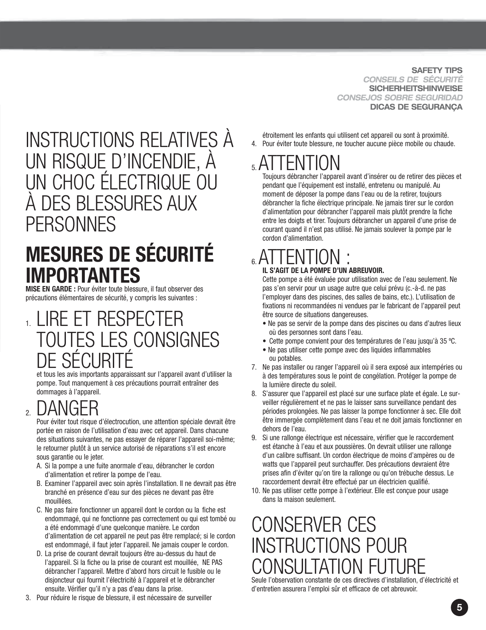**SAFETY TIPS** *CONSEILS DE SÉCURITÉ* **SICHERHEITSHINWEISE** *CONSEJOS SOBRE SEGURIDAD* **DICAS DE SEGURANÇA**

#### INSTRUCTIONS RELATIVES À UN RISQUE D'INCENDIE, À UN CHOC ÉLECTRIQUE OU À DES BLESSURES AUX **PERSONNES**

## **MESURES DE SÉCURITÉ IMPORTANTES**

**MISE EN GARDE :** Pour éviter toute blessure, il faut observer des précautions élémentaires de sécurité, y compris les suivantes :

#### 1. LIRE ET RESPECTER TOUTES LES CONSIGNES DE SÉCURIT

et tous les avis importants apparaissant sur l'appareil avant d'utiliser la pompe. Tout manquement à ces précautions pourrait entraîner des dommages à l'appareil.

2. DANGER Pour éviter tout risque d'électrocution, une attention spéciale devrait être portée en raison de l'utilisation d'eau avec cet appareil. Dans chacune des situations suivantes, ne pas essayer de réparer l'appareil soi-même; le retourner plutôt à un service autorisé de réparations s'il est encore sous garantie ou le jeter.

- A. Si la pompe a une fuite anormale d'eau, débrancher le cordon d'alimentation et retirer la pompe de l'eau.
- B. Examiner l'appareil avec soin après l'installation. Il ne devrait pas être branché en présence d'eau sur des pièces ne devant pas être mouillées.
- C. Ne pas faire fonctionner un appareil dont le cordon ou la fiche est endommagé, qui ne fonctionne pas correctement ou qui est tombé ou a été endommagé d'une quelconque manière. Le cordon d'alimentation de cet appareil ne peut pas être remplacé; si le cordon est endommagé, il faut jeter l'appareil. Ne jamais couper le cordon.
- D. La prise de courant devrait toujours être au-dessus du haut de l'appareil. Si la fiche ou la prise de courant est mouillée, NE PAS débrancher l'appareil. Mettre d'abord hors circuit le fusible ou le disjoncteur qui fournit l'électricité à l'appareil et le débrancher ensuite. Vérifier qu'il n'y a pas d'eau dans la prise.
- 3. Pour réduire le risque de blessure, il est nécessaire de surveiller

étroitement les enfants qui utilisent cet appareil ou sont à proximité. 4. Pour éviter toute blessure, ne toucher aucune pièce mobile ou chaude.

## 5.ATTENTION Toujours débrancher l'appareil avant d'insérer ou de retirer des pièces et

pendant que l'équipement est installé, entretenu ou manipulé. Au moment de déposer la pompe dans l'eau ou de la retirer, toujours débrancher la fiche électrique principale. Ne jamais tirer sur le cordon d'alimentation pour débrancher l'appareil mais plutôt prendre la fiche entre les doigts et tirer. Toujours débrancher un appareil d'une prise de courant quand il n'est pas utilisé. Ne jamais soulever la pompe par le cordon d'alimentation.

#### $_{6}$  ATTEN **IL S'AGIT DE LA POMPE D'UN ABREUVOIR.**

Cette pompe a été évaluée pour utilisation avec de l'eau seulement. Ne pas s'en servir pour un usage autre que celui prévu (c.-à-d. ne pas l'employer dans des piscines, des salles de bains, etc.). L'utilisation de fixations ni recommandées ni vendues par le fabricant de l'appareil peut être source de situations dangereuses.

- Ne pas se servir de la pompe dans des piscines ou dans d'autres lieux où des personnes sont dans l'eau.
- Cette pompe convient pour des températures de l'eau jusqu'à 35 ºC.
- Ne pas utiliser cette pompe avec des liquides inflammables ou potables.
- 7. Ne pas installer ou ranger l'appareil où il sera exposé aux intempéries ou à des températures sous le point de congélation. Protéger la pompe de la lumière directe du soleil.
- 8. S'assurer que l'appareil est placé sur une surface plate et égale. Le surveiller régulièrement et ne pas le laisser sans surveillance pendant des périodes prolongées. Ne pas laisser la pompe fonctionner à sec. Elle doit être immergée complètement dans l'eau et ne doit jamais fonctionner en dehors de l'eau.
- 9. Si une rallonge électrique est nécessaire, vérifier que le raccordement est étanche à l'eau et aux poussières. On devrait utiliser une rallonge d'un calibre suffisant. Un cordon électrique de moins d'ampères ou de watts que l'appareil peut surchauffer. Des précautions devraient être prises afin d'éviter qu'on tire la rallonge ou qu'on trébuche dessus. Le raccordement devrait être effectué par un électricien qualifié.
- 10. Ne pas utiliser cette pompe à l'extérieur. Elle est conçue pour usage dans la maison seulement.

### CONSERVER CES INSTRUCTIONS POUR NSULTATION FUTURE

Seule l'observation constante de ces directives d'installation, d'électricité et d'entretien assurera l'emploi sûr et efficace de cet abreuvoir.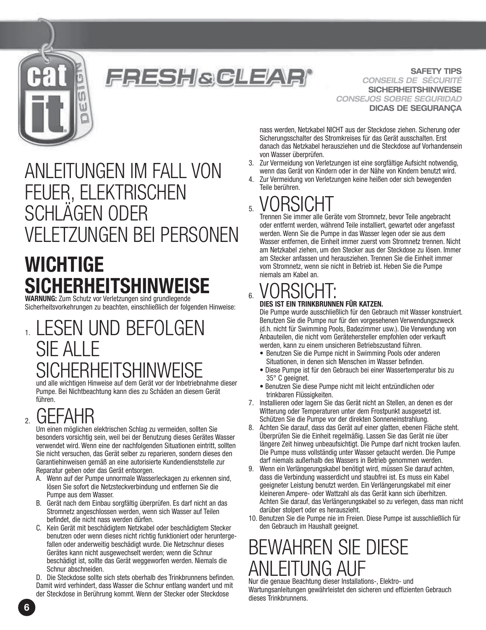

#### FRESH&GLEAR'

**SAFETY TIPS** *CONSEILS DE SÉCURITÉ* **SICHERHEITSHINWEISE** *CONSEJOS SOBRE SEGURIDAD* **DICAS DE SEGURANÇA**

ANLEITUNGEN IM FALL VON FEUER, ELEKTRISCHEN SCHLÄGEN ODER VELETZUNGEN BEI PERSONEN

## **WICHTIGE SICHERHEITSHIN**

**WARNUNG:** Zum Schutz vor Verletzungen sind grundlegende Sicherheitsvorkehrungen zu beachten, einschließlich der folgenden Hinweise:

### 1. LESEN UND BEFOLGEN SIE ALLE CHERHEITSHINWE

und alle wichtigen Hinweise auf dem Gerät vor der Inbetriebnahme dieser Pumpe. Bei Nichtbeachtung kann dies zu Schäden an diesem Gerät führen.

### 2. GEFAHR

Um einen möglichen elektrischen Schlag zu vermeiden, sollten Sie besonders vorsichtig sein, weil bei der Benutzung dieses Gerätes Wasser verwendet wird. Wenn eine der nachfolgenden Situationen eintritt, sollten Sie nicht versuchen, das Gerät selber zu reparieren, sondern dieses den Garantiehinweisen gemäß an eine autorisierte Kundendienststelle zur Reparatur geben oder das Gerät entsorgen.

- A. Wenn auf der Pumpe unnormale Wasserleckagen zu erkennen sind, lösen Sie sofort die Netzsteckverbindung und entfernen Sie die Pumpe aus dem Wasser.
- B. Gerät nach dem Einbau sorgfältig überprüfen. Es darf nicht an das Stromnetz angeschlossen werden, wenn sich Wasser auf Teilen befindet, die nicht nass werden dürfen.
- C. Kein Gerät mit beschädigtem Netzkabel oder beschädigtem Stecker benutzen oder wenn dieses nicht richtig funktioniert oder heruntergefallen oder anderweitig beschädigt wurde. Die Netzschnur dieses Gerätes kann nicht ausgewechselt werden; wenn die Schnur beschädigt ist, sollte das Gerät weggeworfen werden. Niemals die Schnur abschneiden.

D. Die Steckdose sollte sich stets oberhalb des Trinkbrunnens befinden. Damit wird verhindert, dass Wasser die Schnur entlang wandert und mit der Steckdose in Berührung kommt. Wenn der Stecker oder Steckdose

nass werden, Netzkabel NICHT aus der Steckdose ziehen. Sicherung oder Sicherungsschalter des Stromkreises für das Gerät ausschalten. Erst danach das Netzkabel herausziehen und die Steckdose auf Vorhandensein von Wasser überprüfen.

- 3. Zur Vermeidung von Verletzungen ist eine sorgfältige Aufsicht notwendig, wenn das Gerät von Kindern oder in der Nähe von Kindern benutzt wird.
- 4. Zur Vermeidung von Verletzungen keine heißen oder sich bewegenden Teile berühren.

5. VORSICHT Trennen Sie immer alle Geräte vom Stromnetz, bevor Teile angebracht oder entfernt werden, während Teile installiert, gewartet oder angefasst werden. Wenn Sie die Pumpe in das Wasser legen oder sie aus dem Wasser entfernen, die Einheit immer zuerst vom Stromnetz trennen. Nicht am Netzkabel ziehen, um den Stecker aus der Steckdose zu lösen. Immer am Stecker anfassen und herausziehen. Trennen Sie die Einheit immer vom Stromnetz, wenn sie nicht in Betrieb ist. Heben Sie die Pumpe niemals am Kabel an.

## 6. VORSICHT: **DIES IST EIN TRINKBRUNNEN FÜR KATZEN.**

Die Pumpe wurde ausschließlich für den Gebrauch mit Wasser konstruiert. Benutzen Sie die Pumpe nur für den vorgesehenen Verwendungszweck (d.h. nicht für Swimming Pools, Badezimmer usw.). Die Verwendung von Anbauteilen, die nicht vom Gerätehersteller empfohlen oder verkauft werden, kann zu einem unsicheren Betriebszustand führen.

- Benutzen Sie die Pumpe nicht in Swimming Pools oder anderen Situationen, in denen sich Menschen im Wasser befinden.
- Diese Pumpe ist für den Gebrauch bei einer Wassertemperatur bis zu 35° C geeignet.
- Benutzen Sie diese Pumpe nicht mit leicht entzündlichen oder trinkbaren Flüssigkeiten.
- 7. Installieren oder lagern Sie das Gerät nicht an Stellen, an denen es der Witterung oder Temperaturen unter dem Frostpunkt ausgesetzt ist. Schützen Sie die Pumpe vor der direkten Sonneneinstrahlung.
- 8. Achten Sie darauf, dass das Gerät auf einer glatten, ebenen Fläche steht. Überprüfen Sie die Einheit regelmäßig. Lassen Sie das Gerät nie über längere Zeit hinweg unbeaufsichtigt. Die Pumpe darf nicht trocken laufen. Die Pumpe muss vollständig unter Wasser getaucht werden. Die Pumpe darf niemals außerhalb des Wassers in Betrieb genommen werden.
- 9. Wenn ein Verlängerungskabel benötigt wird, müssen Sie darauf achten, dass die Verbindung wasserdicht und staubfrei ist. Es muss ein Kabel geeigneter Leistung benutzt werden. Ein Verlängerungskabel mit einer kleineren Ampere- oder Wattzahl als das Gerät kann sich überhitzen. Achten Sie darauf, das Verlängerungskabel so zu verlegen, dass man nicht darüber stolpert oder es herauszieht.
- 10. Benutzen Sie die Pumpe nie im Freien. Diese Pumpe ist ausschließlich für den Gebrauch im Haushalt geeignet.

## BEWAHREN SIE DIESE FITUNG AI

Nur die genaue Beachtung dieser Installations-, Elektro- und Wartungsanleitungen gewährleistet den sicheren und effizienten Gebrauch dieses Trinkbrunnens.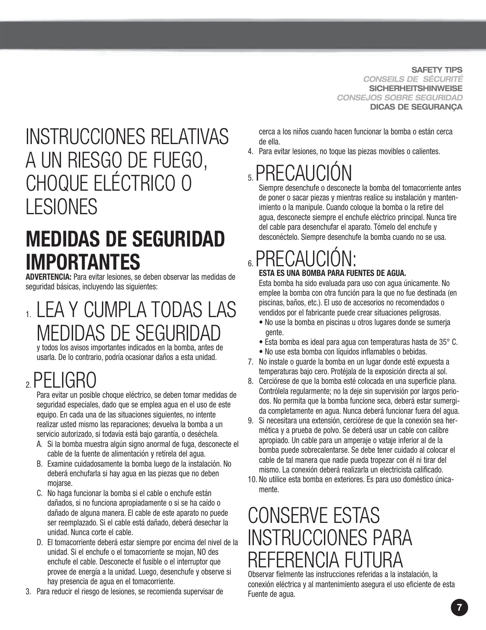**SAFETY TIPS** *CONSEILS DE SÉCURITÉ* **SICHERHEITSHINWEISE** *CONSEJOS SOBRE SEGURIDAD* **DICAS DE SEGURANÇA**

## INSTRUCCIONES RELATIVAS A UN RIESGO DE FUEGO, CHOQUE ELÉCTRICO O LESIONES

### **MEDIDAS DE SEGURIDAD IMPORTANTES**

**ADVERTENCIA:** Para evitar lesiones, se deben observar las medidas de seguridad básicas, incluyendo las siguientes:

1. LEA Y CUMPLA TODAS LAS MEDIDAS DE SEGURIDAD

y todos los avisos importantes indicados en la bomba, antes de usarla. De lo contrario, podría ocasionar daños a esta unidad.

## 2.PELIGRO

Para evitar un posible choque eléctrico, se deben tomar medidas de seguridad especiales, dado que se emplea agua en el uso de este equipo. En cada una de las situaciones siguientes, no intente realizar usted mismo las reparaciones; devuelva la bomba a un servicio autorizado, si todavía está bajo garantía, o deséchela.

- A. Si la bomba muestra algún signo anormal de fuga, desconecte el cable de la fuente de alimentación y retírela del agua.
- B. Examine cuidadosamente la bomba luego de la instalación. No deberá enchufarla si hay agua en las piezas que no deben mojarse.
- C. No haga funcionar la bomba si el cable o enchufe están dañados, si no funciona apropiadamente o si se ha caído o dañado de alguna manera. El cable de este aparato no puede ser reemplazado. Si el cable está dañado, deberá desechar la unidad. Nunca corte el cable.
- D. El tomacorriente deberá estar siempre por encima del nivel de la unidad. Si el enchufe o el tomacorriente se mojan, NO des enchufe el cable. Desconecte el fusible o el interruptor que provee de energía a la unidad. Luego, desenchufe y observe si hay presencia de agua en el tomacorriente.
- 3. Para reducir el riesgo de lesiones, se recomienda supervisar de

cerca a los niños cuando hacen funcionar la bomba o están cerca de ella.

4. Para evitar lesiones, no toque las piezas movibles o calientes.

## $5$ . PRECAUCI

Siempre desenchufe o desconecte la bomba del tomacorriente antes de poner o sacar piezas y mientras realice su instalación y mantenimiento o la manipule. Cuando coloque la bomba o la retire del agua, desconecte siempre el enchufe eléctrico principal. Nunca tire del cable para desenchufar el aparato. Tómelo del enchufe y desconéctelo. Siempre desenchufe la bomba cuando no se usa.

## $6.$ PRECAI

#### **ESTA ES UNA BOMBA PARA FUENTES DE AGUA.**

Esta bomba ha sido evaluada para uso con agua únicamente. No emplee la bomba con otra función para la que no fue destinada (en piscinas, baños, etc.). El uso de accesorios no recomendados o vendidos por el fabricante puede crear situaciones peligrosas.

- No use la bomba en piscinas u otros lugares donde se sumerja gente.
- Esta bomba es ideal para agua con temperaturas hasta de 35° C.
- No use esta bomba con líquidos inflamables o bebidas.
- 7. No instale o guarde la bomba en un lugar donde esté expuesta a temperaturas bajo cero. Protéjala de la exposición directa al sol.
- 8. Cerciórese de que la bomba esté colocada en una superficie plana. Contrólela regularmente; no la deje sin supervisión por largos periodos. No permita que la bomba funcione seca, deberá estar sumergida completamente en agua. Nunca deberá funcionar fuera del agua.
- 9. Si necesitara una extensión, cerciórese de que la conexión sea hermética y a prueba de polvo. Se deberá usar un cable con calibre apropiado. Un cable para un amperaje o vataje inferior al de la bomba puede sobrecalentarse. Se debe tener cuidado al colocar el cable de tal manera que nadie pueda tropezar con él ni tirar del mismo. La conexión deberá realizarla un electricista calificado.
- 10. No utilice esta bomba en exteriores. Es para uso doméstico únicamente.

## CONSERVE ESTAS INSTRUCCIONES PARA REFERENCIA FUTURA

Observar fielmente las instrucciones referidas a la instalación, la conexión eléctrica y al mantenimiento asegura el uso eficiente de esta Fuente de agua.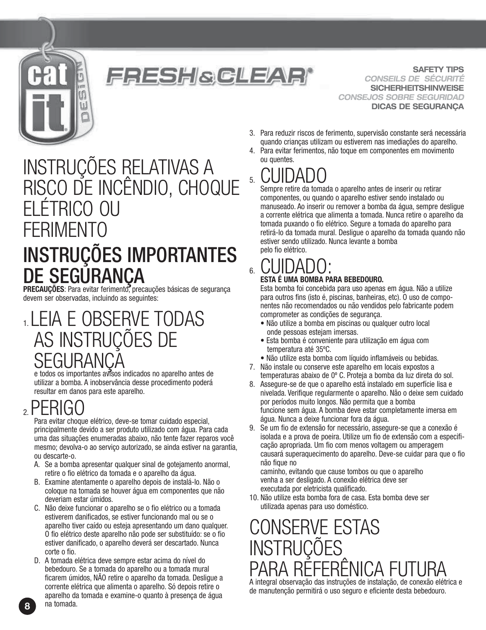

#### **FRESH&GLEAR**

**SAFETY TIPS** *CONSEILS DE SÉCURITÉ* **SICHERHEITSHINWEISE** *CONSEJOS SOBRE SEGURIDAD* **DICAS DE SEGURANÇA**

## INSTRUÇÕES RELATIVAS A RISCO DE INCÊNDIO, CHOQUE ELÉTRICO OU **FFRIMENTO** INSTRUÇÕES IMPORTANTES

# DE SEGURANÇA

PRECAUÇÕES: Para evitar ferimento, precauções básicas de segurança devem ser observadas, incluindo as seguintes:

#### 1.LEIA E OBSERVE TODAS AS INSTRUÇÕES DE SEGURANÇA

e todos os importantes avisos indicados no aparelho antes de utilizar a bomba. A inobservância desse procedimento poderá resultar em danos para este aparelho.

### $2.$ PERIG

Para evitar choque elétrico, deve-se tomar cuidado especial, principalmente devido a ser produto utilizado com água. Para cada uma das situações enumeradas abaixo, não tente fazer reparos você mesmo; devolva-o ao serviço autorizado, se ainda estiver na garantia, ou descarte-o.

- A. Se a bomba apresentar qualquer sinal de gotejamento anormal, retire o fio elétrico da tomada e o aparelho da água.
- B. Examine atentamente o aparelho depois de instalá-lo. Não o coloque na tomada se houver água em componentes que não deveriam estar úmidos.
- C. Não deixe funcionar o aparelho se o fio elétrico ou a tomada estiverem danificados, se estiver funcionando mal ou se o aparelho tiver caído ou esteja apresentando um dano qualquer. O fio elétrico deste aparelho não pode ser substituído: se o fio estiver danificado, o aparelho deverá ser descartado. Nunca corte o fio.
- D. A tomada elétrica deve sempre estar acima do nível do bebedouro. Se a tomada do aparelho ou a tomada mural ficarem úmidos, NÃO retire o aparelho da tomada. Desligue a corrente elétrica que alimenta o aparelho. Só depois retire o aparelho da tomada e examine-o quanto à presença de água na tomada.
- 3. Para reduzir riscos de ferimento, supervisão constante será necessária quando crianças utilizam ou estiverem nas imediações do aparelho.
- 4. Para evitar ferimentos, não toque em componentes em movimento ou quentes.

5. CUIDADO Sempre retire da tomada o aparelho antes de inserir ou retirar componentes, ou quando o aparelho estiver sendo instalado ou manuseado. Ao inserir ou remover a bomba da água, sempre desligue a corrente elétrica que alimenta a tomada. Nunca retire o aparelho da tomada puxando o fio elétrico. Segure a tomada do aparelho para retirá-lo da tomada mural. Desligue o aparelho da tomada quando não estiver sendo utilizado. Nunca levante a bomba pelo fio elétrico.

## 6. CUIDADO: **ESTA É UMA BOMBA PARA BEBEDOURO.**

Esta bomba foi concebida para uso apenas em água. Não a utilize para outros fins (isto é, piscinas, banheiras, etc). O uso de componentes não recomendados ou não vendidos pelo fabricante podem comprometer as condições de segurança.

- Não utilize a bomba em piscinas ou qualquer outro local onde pessoas estejam imersas.
- Esta bomba é conveniente para utilização em água com temperatura até 35ºC.
- Não utilize esta bomba com líquido inflamáveis ou bebidas.
- 7. Não instale ou conserve este aparelho em locais expostos a temperaturas abaixo de 0º C. Proteja a bomba da luz direta do sol.
- 8. Assegure-se de que o aparelho está instalado em superfície lisa e nivelada. Verifique regularmente o aparelho. Não o deixe sem cuidado por períodos muito longos. Não permita que a bomba funcione sem água. A bomba deve estar completamente imersa em água. Nunca a deixe funcionar fora da água.
- 9. Se um fio de extensão for necessário, assegure-se que a conexão é isolada e a prova de poeira. Utilize um fio de extensão com a especificação apropriada. Um fio com menos voltagem ou amperagem causará superaquecimento do aparelho. Deve-se cuidar para que o fio não fique no

caminho, evitando que cause tombos ou que o aparelho venha a ser desligado. A conexão elétrica deve ser executada por eletricista qualificado.

10. Não utilize esta bomba fora de casa. Esta bomba deve ser utilizada apenas para uso doméstico.

#### CONSERVE ESTAS **INSTRUCÕES** PARA REFERENICA F A integral observação das instruções de instalação, de conexão elétrica e

de manutenção permitirá o uso seguro e eficiente desta bebedouro.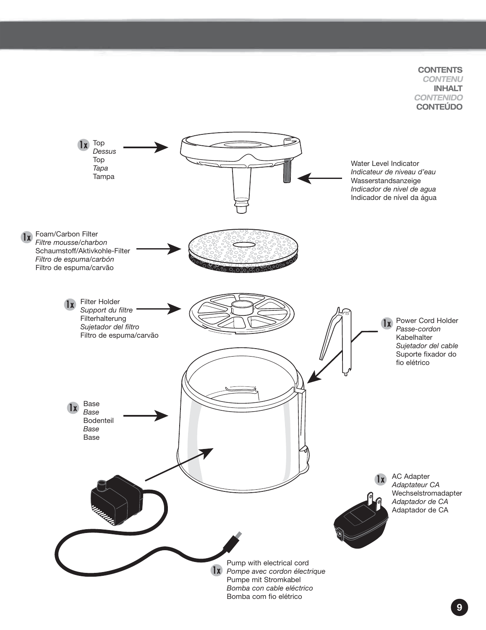#### **CONTENTS** *CONTENU* **INHALT** *CONTENIDO* **CONTEÚDO**



**Contenu**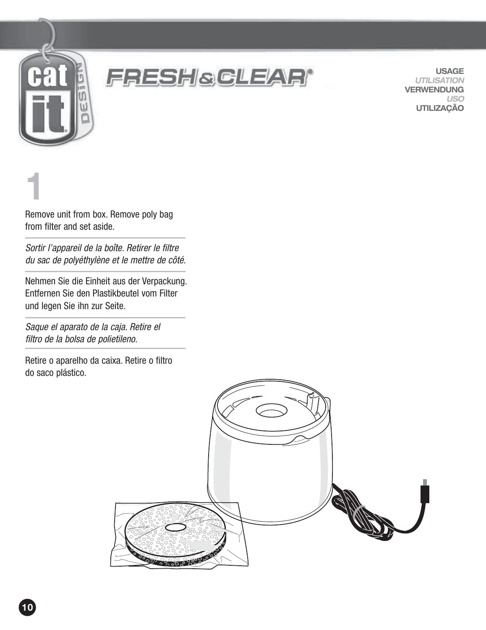



**USAGE** *UTILISATION* **VERWENDUNG** *USO* **UTILIZAÇÃO**

**1**.

Remove unit from box. Remove poly bag from filter and set aside.

Sortir l'appareil de la boîte. Retirer le filtre du sac de polyéthylène et le mettre de côté.

Nehmen Sie die Einheit aus der Verpackung. Entfernen Sie den Plastikbeutel vom Filter und legen Sie ihn zur Seite.

Saque el aparato de la caja. Retire el filtro de la bolsa de polietileno.

Retire o aparelho da caixa. Retire o filtro do saco plástico.

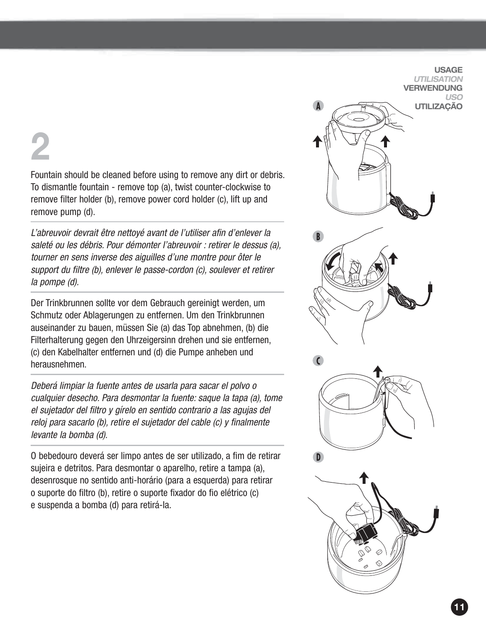# **2**.

Fountain should be cleaned before using to remove any dirt or debris. To dismantle fountain - remove top (a), twist counter-clockwise to remove filter holder (b), remove power cord holder (c), lift up and remove pump (d).

L'abreuvoir devrait être nettoyé avant de l'utiliser afin d'enlever la saleté ou les débris. Pour démonter l'abreuvoir : retirer le dessus (a), tourner en sens inverse des aiguilles d'une montre pour ôter le support du filtre (b), enlever le passe-cordon (c), soulever et retirer la pompe (d).

Der Trinkbrunnen sollte vor dem Gebrauch gereinigt werden, um Schmutz oder Ablagerungen zu entfernen. Um den Trinkbrunnen auseinander zu bauen, müssen Sie (a) das Top abnehmen, (b) die Filterhalterung gegen den Uhrzeigersinn drehen und sie entfernen, (c) den Kabelhalter entfernen und (d) die Pumpe anheben und herausnehmen.

Deberá limpiar la fuente antes de usarla para sacar el polvo o cualquier desecho. Para desmontar la fuente: saque la tapa (a), tome el sujetador del filtro y gírelo en sentido contrario a las agujas del reloj para sacarlo (b), retire el sujetador del cable (c) y finalmente levante la bomba (d).

O bebedouro deverá ser limpo antes de ser utilizado, a fim de retirar sujeira e detritos. Para desmontar o aparelho, retire a tampa (a), desenrosque no sentido anti-horário (para a esquerda) para retirar o suporte do filtro (b), retire o suporte fixador do fio elétrico (c) e suspenda a bomba (d) para retirá-la.

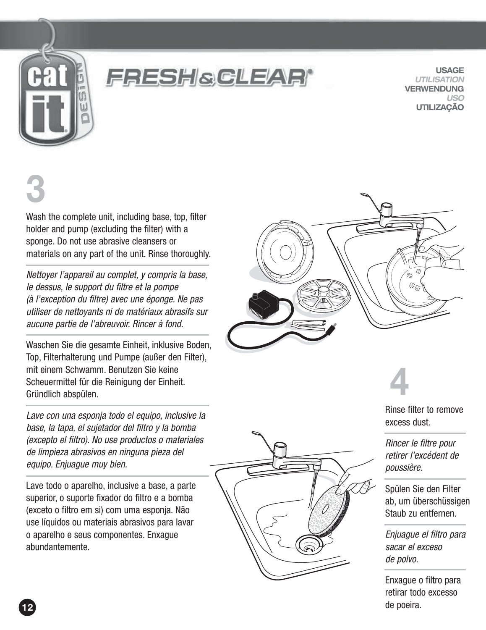

### **FRESH&CLEAR**

**USAGE** *UTILISATION* **VERWENDUNG** *USO* **UTILIZAÇÃO**

**3**

Wash the complete unit, including base, top, filter holder and pump (excluding the filter) with a sponge. Do not use abrasive cleansers or materials on any part of the unit. Rinse thoroughly.

Nettoyer l'appareil au complet, y compris la base, le dessus, le support du filtre et la pompe (à l'exception du filtre) avec une éponge. Ne pas utiliser de nettoyants ni de matériaux abrasifs sur aucune partie de l'abreuvoir. Rincer à fond.

Waschen Sie die gesamte Einheit, inklusive Boden, Top, Filterhalterung und Pumpe (außer den Filter), mit einem Schwamm. Benutzen Sie keine Scheuermittel für die Reinigung der Einheit. Gründlich abspülen.

Lave con una esponja todo el equipo, inclusive la base, la tapa, el sujetador del filtro y la bomba (excepto el filtro). No use productos o materiales de limpieza abrasivos en ninguna pieza del equipo. Enjuague muy bien.

Lave todo o aparelho, inclusive a base, a parte superior, o suporte fixador do filtro e a bomba (exceto o filtro em si) com uma esponja. Não use líquidos ou materiais abrasivos para lavar o aparelho e seus componentes. Enxague abundantemente.



**4**

Rinse filter to remove excess dust.

Rincer le filtre pour retirer l'excédent de poussière.

Spülen Sie den Filter ab, um überschüssigen Staub zu entfernen.

Enjuague el filtro para sacar el exceso de polvo.

Enxague o filtro para retirar todo excesso de poeira.

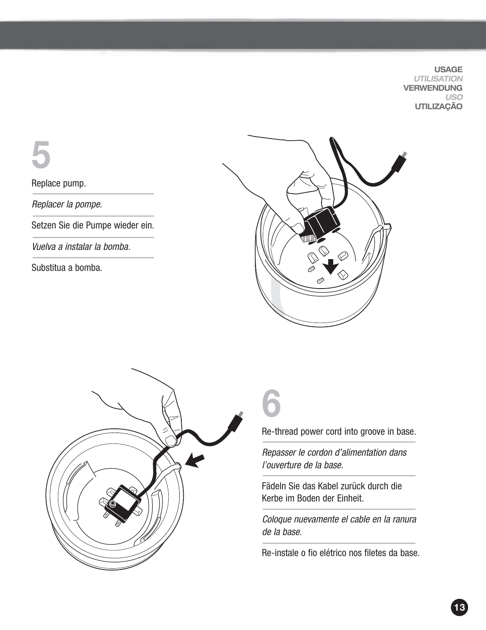**USAGE** *UTILISATION* **VERWENDUNG** *USO* **UTILIZAÇÃO**

**5**.

Replace pump.

Replacer la pompe.

Setzen Sie die Pumpe wieder ein.

Vuelva a instalar la bomba.

Substitua a bomba.





**6**.

Re-thread power cord into groove in base.

Repasser le cordon d'alimentation dans l'ouverture de la base.

Fädeln Sie das Kabel zurück durch die Kerbe im Boden der Einheit.

Coloque nuevamente el cable en la ranura de la base.

Re-instale o fio elétrico nos filetes da base.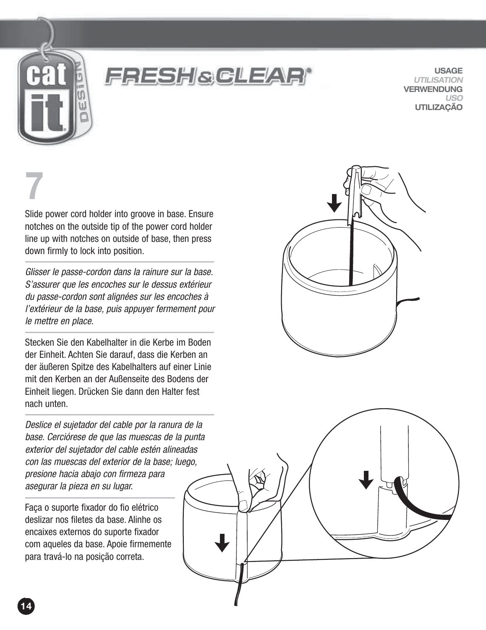

FRESH&GLEAR

**USAGE** *UTILISATION* **VERWENDUNG** *USO* **UTILIZAÇÃO**

# **7**.

Slide power cord holder into groove in base. Ensure notches on the outside tip of the power cord holder line up with notches on outside of base, then press down firmly to lock into position.

Glisser le passe-cordon dans la rainure sur la base. S'assurer que les encoches sur le dessus extérieur du passe-cordon sont alignées sur les encoches à l'extérieur de la base, puis appuyer fermement pour le mettre en place.

Stecken Sie den Kabelhalter in die Kerbe im Boden der Einheit. Achten Sie darauf, dass die Kerben an der äußeren Spitze des Kabelhalters auf einer Linie mit den Kerben an der Außenseite des Bodens der Einheit liegen. Drücken Sie dann den Halter fest nach unten.

Deslice el sujetador del cable por la ranura de la base. Cerciórese de que las muescas de la punta exterior del sujetador del cable estén alineadas con las muescas del exterior de la base; luego, presione hacia abajo con firmeza para asegurar la pieza en su lugar.

Faça o suporte fixador do fio elétrico deslizar nos filetes da base. Alinhe os encaixes externos do suporte fixador com aqueles da base. Apoie firmemente para travá-lo na posição correta.



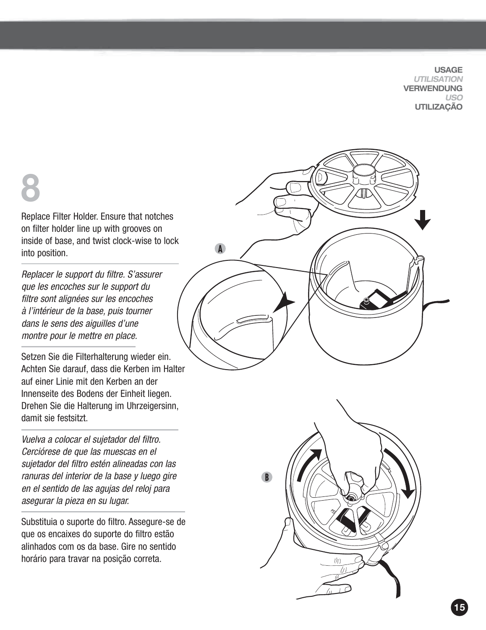**USAGE** *UTILISATION* **VERWENDUNG** *USO* **UTILIZAÇÃO**

# **8**

Replace Filter Holder. Ensure that notches on filter holder line up with grooves on inside of base, and twist clock-wise to lock into position.

Replacer le support du filtre. S'assurer que les encoches sur le support du filtre sont alignées sur les encoches à l'intérieur de la base, puis tourner dans le sens des aiguilles d'une montre pour le mettre en place.

Setzen Sie die Filterhalterung wieder ein. Achten Sie darauf, dass die Kerben im Halter auf einer Linie mit den Kerben an der Innenseite des Bodens der Einheit liegen. Drehen Sie die Halterung im Uhrzeigersinn, damit sie festsitzt.

Vuelva a colocar el sujetador del filtro. Cerciórese de que las muescas en el sujetador del filtro estén alineadas con las ranuras del interior de la base y luego gire en el sentido de las agujas del reloj para asegurar la pieza en su lugar.

Substituia o suporte do filtro. Assegure-se de que os encaixes do suporte do filtro estão alinhados com os da base. Gire no sentido horário para travar na posição correta.



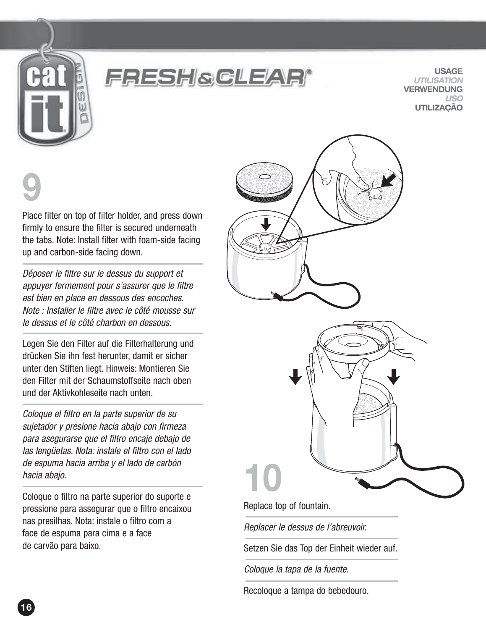

### FRESH&GLEAR

**USAGE** *UTILISATION* **VERWENDUNG** *USO* **UTILIZAÇÃO**

# **9**

Place filter on top of filter holder, and press down firmly to ensure the filter is secured underneath the tabs. Note: Install filter with foam-side facing up and carbon-side facing down.

Déposer le filtre sur le dessus du support et appuyer fermement pour s'assurer que le filtre est bien en place en dessous des encoches. Note : Installer le filtre avec le côté mousse sur le dessus et le côté charbon en dessous.

Legen Sie den Filter auf die Filterhalterung und drücken Sie ihn fest herunter, damit er sicher unter den Stiften liegt. Hinweis: Montieren Sie den Filter mit der Schaumstoffseite nach oben und der Aktivkohleseite nach unten.

Coloque el filtro en la parte superior de su sujetador y presione hacia abajo con firmeza para asegurarse que el filtro encaje debajo de las lengüetas. Nota: instale el filtro con el lado de espuma hacia arriba y el lado de carbón hacia abajo.

Coloque o filtro na parte superior do suporte e pressione para assegurar que o filtro encaixou nas presilhas. Nota: instale o filtro com a face de espuma para cima e a face de carvão para baixo.



Replace top of fountain.

Replacer le dessus de l'abreuvoir.

Setzen Sie das Top der Einheit wieder auf.

Coloque la tapa de la fuente.

Recoloque a tampa do bebedouro.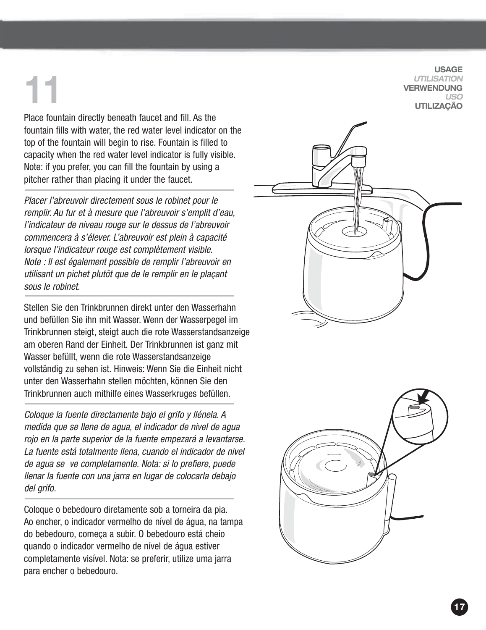**11**

Place fountain directly beneath faucet and fill. As the fountain fills with water, the red water level indicator on the top of the fountain will begin to rise. Fountain is filled to capacity when the red water level indicator is fully visible. Note: if you prefer, you can fill the fountain by using a pitcher rather than placing it under the faucet.

Placer l'abreuvoir directement sous le robinet pour le remplir. Au fur et à mesure que l'abreuvoir s'emplit d'eau, l'indicateur de niveau rouge sur le dessus de l'abreuvoir commencera à s'élever. L'abreuvoir est plein à capacité lorsque l'indicateur rouge est complètement visible. Note : Il est également possible de remplir l'abreuvoir en utilisant un pichet plutôt que de le remplir en le plaçant sous le robinet.

Stellen Sie den Trinkbrunnen direkt unter den Wasserhahn und befüllen Sie ihn mit Wasser. Wenn der Wasserpegel im Trinkbrunnen steigt, steigt auch die rote Wasserstandsanzeige am oberen Rand der Einheit. Der Trinkbrunnen ist ganz mit Wasser befüllt, wenn die rote Wasserstandsanzeige vollständig zu sehen ist. Hinweis: Wenn Sie die Einheit nicht unter den Wasserhahn stellen möchten, können Sie den Trinkbrunnen auch mithilfe eines Wasserkruges befüllen.

Coloque la fuente directamente bajo el grifo y llénela. A medida que se llene de agua, el indicador de nivel de agua rojo en la parte superior de la fuente empezará a levantarse. La fuente está totalmente llena, cuando el indicador de nivel de agua se ve completamente. Nota: si lo prefiere, puede llenar la fuente con una jarra en lugar de colocarla debajo del arifo.

Coloque o bebedouro diretamente sob a torneira da pia. Ao encher, o indicador vermelho de nível de água, na tampa do bebedouro, começa a subir. O bebedouro está cheio quando o indicador vermelho de nível de água estiver completamente visível. Nota: se preferir, utilize uma jarra para encher o bebedouro.

**USAGE** *UTILISATION* **VERWENDUNG** *USO* **UTILIZAÇÃO**

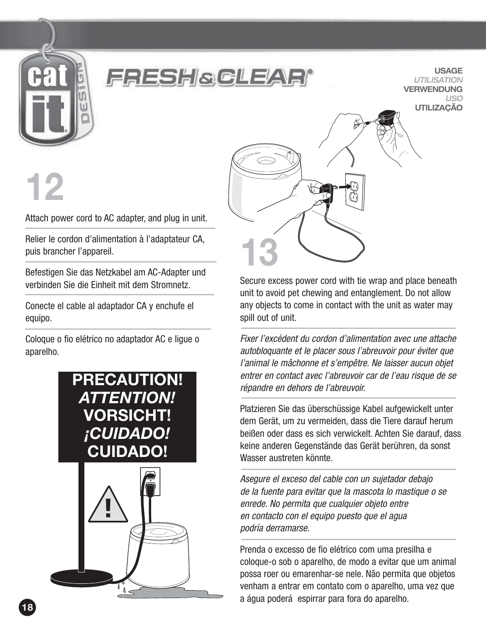

#### FRESHGGLEAR

**USAGE** *UTILISATION* **VERWENDUNG** *USO* **UTILIZAÇÃO**

# **12**

Attach power cord to AC adapter, and plug in unit.

Relier le cordon d'alimentation à l'adaptateur CA, puis brancher l'appareil.

Befestigen Sie das Netzkabel am AC-Adapter und verbinden Sie die Einheit mit dem Stromnetz.

Conecte el cable al adaptador CA y enchufe el equipo.

Coloque o fio elétrico no adaptador AC e ligue o aparelho.





Secure excess power cord with tie wrap and place beneath unit to avoid pet chewing and entanglement. Do not allow any objects to come in contact with the unit as water may spill out of unit.

Fixer l'excédent du cordon d'alimentation avec une attache autobloquante et le placer sous l'abreuvoir pour éviter que l'animal le mâchonne et s'empêtre. Ne laisser aucun objet entrer en contact avec l'abreuvoir car de l'eau risque de se répandre en dehors de l'abreuvoir.

Platzieren Sie das überschüssige Kabel aufgewickelt unter dem Gerät, um zu vermeiden, dass die Tiere darauf herum beißen oder dass es sich verwickelt. Achten Sie darauf, dass keine anderen Gegenstände das Gerät berühren, da sonst Wasser austreten könnte.

Asegure el exceso del cable con un sujetador debajo de la fuente para evitar que la mascota lo mastique o se enrede. No permita que cualquier objeto entre en contacto con el equipo puesto que el agua podría derramarse.

Prenda o excesso de fio elétrico com uma presilha e coloque-o sob o aparelho, de modo a evitar que um animal possa roer ou emarenhar-se nele. Não permita que objetos venham a entrar em contato com o aparelho, uma vez que a água poderá espirrar para fora do aparelho.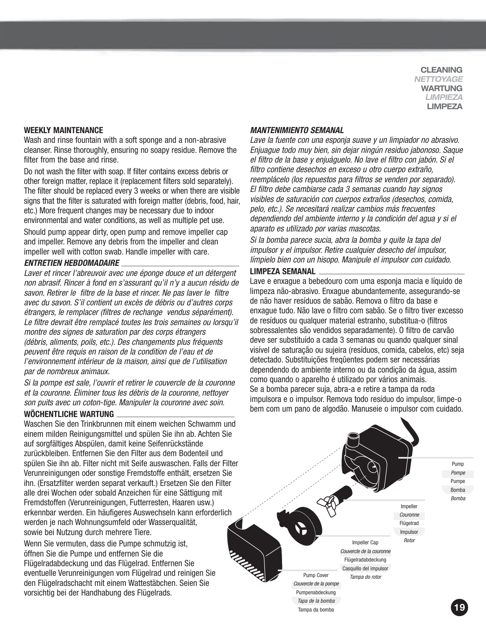**CLEANING** *NETTOYAGE* **WARTUNG** *LIMPIEZA* **LIMPEZA**

#### **WEEKLY MAINTENANCE**

**Nettoyage Limpieza**

Wash and rinse fountain with a soft sponge and a non-abrasive cleanser. Rinse thoroughly, ensuring no soapy residue. Remove the filter from the base and rinse.

Do not wash the filter with soap. If filter contains excess debris or other foreign matter, replace it (replacement filters sold separately). The filter should be replaced every 3 weeks or when there are visible signs that the filter is saturated with foreign matter (debris, food, hair, etc.) More frequent changes may be necessary due to indoor environmental and water conditions, as well as multiple pet use. Should pump appear dirty, open pump and remove impeller cap and impeller. Remove any debris from the impeller and clean impeller well with cotton swab. Handle impeller with care.

#### *ENTRETIEN HEBDOMADAIRE*

Laver et rincer l'abreuvoir avec une éponge douce et un détergent non abrasif. Rincer à fond en s'assurant qu'il n'y a aucun résidu de savon. Retirer le filtre de la base et rincer. Ne pas laver le filtre avec du savon. S'il contient un excès de débris ou d'autres corps étrangers, le remplacer (filtres de rechange vendus séparément). Le filtre devrait être remplacé toutes les trois semaines ou lorsqu'il montre des signes de saturation par des corps étrangers (débris, aliments, poils, etc.). Des changements plus fréquents peuvent être requis en raison de la condition de l'eau et de l'environnement intérieur de la maison, ainsi que de l'utilisation par de nombreux animaux.

Si la pompe est sale, l'ouvrir et retirer le couvercle de la couronne et la couronne. Éliminer tous les débris de la couronne, nettoyer son puits avec un coton-tige. Manipuler la couronne avec soin.

#### **WÖCHENTLICHE WARTUNG**

Waschen Sie den Trinkbrunnen mit einem weichen Schwamm und einem milden Reinigungsmittel und spülen Sie ihn ab. Achten Sie auf sorgfältiges Abspülen, damit keine Seifenrückstände zurückbleiben. Entfernen Sie den Filter aus dem Bodenteil und spülen Sie ihn ab. Filter nicht mit Seife auswaschen. Falls der Filter Verunreinigungen oder sonstige Fremdstoffe enthält, ersetzen Sie ihn. (Ersatzfilter werden separat verkauft.) Ersetzen Sie den Filter alle drei Wochen oder sobald Anzeichen für eine Sättigung mit Fremdstoffen (Verunreinigungen, Futterresten, Haaren usw.) erkennbar werden. Ein häufigeres Auswechseln kann erforderlich werden je nach Wohnungsumfeld oder Wasserqualität, sowie bei Nutzung durch mehrere Tiere.

Wenn Sie vermuten, dass die Pumpe schmutzig ist, öffnen Sie die Pumpe und entfernen Sie die Flügelradabdeckung und das Flügelrad. Entfernen Sie eventuelle Verunreinigungen vom Flügelrad und reinigen Sie den Flügelradschacht mit einem Wattestäbchen. Seien Sie vorsichtig bei der Handhabung des Flügelrads.

#### *MANTENIMIENTO SEMANAL*

Lave la fuente con una esponja suave y un limpiador no abrasivo. Enjuague todo muy bien, sin dejar ningún residuo jabonoso. Saque el filtro de la base y enjuáguelo. No lave el filtro con jabón. Si el filtro contiene desechos en exceso u otro cuerpo extraño, reemplácelo (los repuestos para filtros se venden por separado). El filtro debe cambiarse cada 3 semanas cuando hay signos visibles de saturación con cuerpos extraños (desechos, comida, pelo, etc.). Se necesitará realizar cambios más frecuentes dependiendo del ambiente interno y la condición del agua y si el aparato es utilizado por varias mascotas.

Si la bomba parece sucia, abra la bomba y quite la tapa del impulsor y el impulsor. Retire cualquier desecho del impulsor, límpielo bien con un hisopo. Manipule el impulsor con cuidado.

#### **LIMPEZA SEMANAL**

Lave e enxague a bebedouro com uma esponja macia e líquido de limpeza não-abrasivo. Enxague abundantemente, assegurando-se de não haver resíduos de sabão. Remova o filtro da base e enxague tudo. Não lave o filtro com sabão. Se o filtro tiver excesso de resíduos ou qualquer material estranho, substitua-o (filtros sobressalentes são vendidos separadamente). O filtro de carvão deve ser substituído a cada 3 semanas ou quando qualquer sinal visível de saturação ou sujeira (resíduos, comida, cabelos, etc) seja detectado. Substituições freqûentes podem ser necessárias dependendo do ambiente interno ou da condição da água, assim como quando o aparelho é utilizado por vários animais. Se a bomba parecer suja, abra-a e retire a tampa da roda impulsora e o impulsor. Remova todo resíduo do impulsor, limpe-o bem com um pano de algodão. Manuseie o impulsor com cuidado.

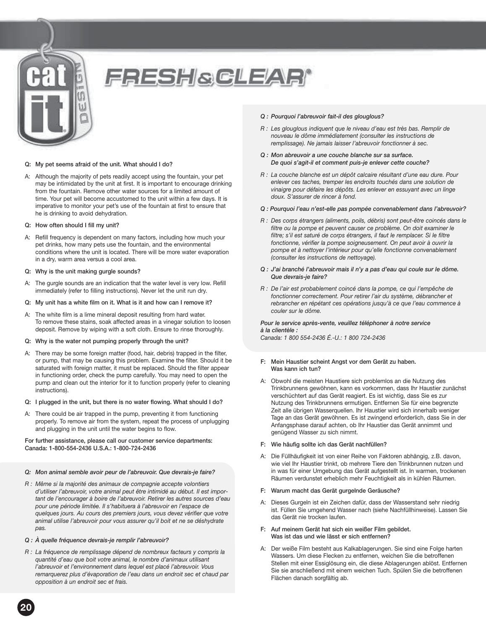

## **FRESH&CLEAR**

#### **Q: My pet seems afraid of the unit. What should I do?**

- A: Although the majority of pets readily accept using the fountain, your pet may be intimidated by the unit at first. It is important to encourage drinking from the fountain. Remove other water sources for a limited amount of time. Your pet will become accustomed to the unit within a few days. It is imperative to monitor your pet's use of the fountain at first to ensure that he is drinking to avoid dehydration.
- **Q: How often should I fill my unit?**
- A: Refill frequency is dependent on many factors, including how much your pet drinks, how many pets use the fountain, and the environmental conditions where the unit is located. There will be more water evaporation in a dry, warm area versus a cool area.
- **Q: Why is the unit making gurgle sounds?**
- A: The gurgle sounds are an indication that the water level is very low. Refill immediately (refer to filling instructions). Never let the unit run dry.
- **Q: My unit has a white film on it. What is it and how can I remove it?**
- A: The white film is a lime mineral deposit resulting from hard water. To remove these stains, soak affected areas in a vinegar solution to loosen deposit. Remove by wiping with a soft cloth. Ensure to rinse thoroughly.
- **Q: Why is the water not pumping properly through the unit?**
- A: There may be some foreign matter (food, hair, debris) trapped in the filter, or pump, that may be causing this problem. Examine the filter. Should it be saturated with foreign matter, it must be replaced. Should the filter appear in functioning order, check the pump carefully. You may need to open the pump and clean out the interior for it to function properly (refer to cleaning instructions).
- **Q: I plugged in the unit, but there is no water flowing. What should I do?**
- A: There could be air trapped in the pump, preventing it from functioning properly. To remove air from the system, repeat the process of unplugging and plugging in the unit until the water begins to flow.

#### **For further assistance, please call our customer service departments: Canada: 1-800-554-2436 U.S.A.: 1-800-724-2436**

- *Q: Mon animal semble avoir peur de l'abreuvoir. Que devrais-je faire?*
- *R : Même si la majorité des animaux de compagnie accepte volontiers d'utiliser l'abreuvoir, votre animal peut être intimidé au début. Il est important de l'encourager à boire de l'abreuvoir. Retirer les autres sources d'eau pour une période limitée. Il s'habituera à l'abreuvoir en l'espace de quelques jours. Au cours des premiers jours, vous devez vérifier que votre animal utilise l'abreuvoir pour vous assurer qu'il boit et ne se déshydrate pas.*
- *Q : À quelle fréquence devrais-je remplir l'abreuvoir?*
- *R : La fréquence de remplissage dépend de nombreux facteurs y compris la quantité d'eau que boit votre animal, le nombre d'animaux utilisant l'abreuvoir et l'environnement dans lequel est placé l'abreuvoir. Vous remarquerez plus d'évaporation de l'eau dans un endroit sec et chaud par opposition à un endroit sec et frais.*

#### *Q : Pourquoi l'abreuvoir fait-il des glouglous?*

- *R : Les glouglous indiquent que le niveau d'eau est très bas. Remplir de nouveau le dôme immédiatement (consulter les instructions de remplissage). Ne jamais laisser l'abreuvoir fonctionner à sec.*
- *Q : Mon abreuvoir a une couche blanche sur sa surface. De quoi s'agit-il et comment puis-je enlever cette couche?*
- *R : La couche blanche est un dépôt calcaire résultant d'une eau dure. Pour enlever ces taches, tremper les endroits touchés dans une solution de vinaigre pour défaire les dépôts. Les enlever en essuyant avec un linge doux. S'assurer de rincer à fond.*
- *Q : Pourquoi l'eau n'est-elle pas pompée convenablement dans l'abreuvoir?*
- *R : Des corps étrangers (aliments, poils, débris) sont peut-être coincés dans le filtre ou la pompe et peuvent causer ce problème. On doit examiner le filtre; s'il est saturé de corps étrangers, il faut le remplacer. Si le filtre fonctionne, vérifier la pompe soigneusement. On peut avoir à ouvrir la pompe et à nettoyer l'intérieur pour qu'elle fonctionne convenablement (consulter les instructions de nettoyage).*
- *Q : J'ai branché l'abreuvoir mais il n'y a pas d'eau qui coule sur le dôme. Que devrais-je faire?*
- *R : De l'air est probablement coincé dans la pompe, ce qui l'empêche de fonctionner correctement. Pour retirer l'air du système, débrancher et rebrancher en répétant ces opérations jusqu'à ce que l'eau commence à couler sur le dôme.*

*Pour le service après-vente, veuillez téléphoner à notre service à la clientèle : Canada: 1 800 554-2436 É.-U.: 1 800 724-2436*

- **F: Mein Haustier scheint Angst vor dem Gerät zu haben. Was kann ich tun?**
- A: Obwohl die meisten Haustiere sich problemlos an die Nutzung des Trinkbrunnens gewöhnen, kann es vorkommen, dass Ihr Haustier zunächst verschüchtert auf das Gerät reagiert. Es ist wichtig, dass Sie es zur Nutzung des Trinkbrunnens ermutigen. Entfernen Sie für eine begrenzte Zeit alle übrigen Wasserquellen. Ihr Haustier wird sich innerhalb weniger Tage an das Gerät gewöhnen. Es ist zwingend erforderlich, dass Sie in der Anfangsphase darauf achten, ob Ihr Haustier das Gerät annimmt und genügend Wasser zu sich nimmt.
- **F: Wie häufig sollte ich das Gerät nachfüllen?**
- A: Die Füllhäufigkeit ist von einer Reihe von Faktoren abhängig, z.B. davon, wie viel Ihr Haustier trinkt, ob mehrere Tiere den Trinkbrunnen nutzen und in was für einer Umgebung das Gerät aufgestellt ist. In warmen, trockenen Räumen verdunstet erheblich mehr Feuchtigkeit als in kühlen Räumen.
- **F: Warum macht das Gerät gurgelnde Geräusche?**
- A: Dieses Gurgeln ist ein Zeichen dafür, dass der Wasserstand sehr niedrig ist. Füllen Sie umgehend Wasser nach (siehe Nachfüllhinweise). Lassen Sie das Gerät nie trocken laufen.
- **F: Auf meinem Gerät hat sich ein weißer Film gebildet. Was ist das und wie lässt er sich entfernen?**
- A: Der weiße Film besteht aus Kalkablagerungen. Sie sind eine Folge harten Wassers. Um diese Flecken zu entfernen, weichen Sie die betroffenen Stellen mit einer Essiglösung ein, die diese Ablagerungen ablöst. Entfernen Sie sie anschließend mit einem weichen Tuch. Spülen Sie die betroffenen Flächen danach sorgfältig ab.

**20**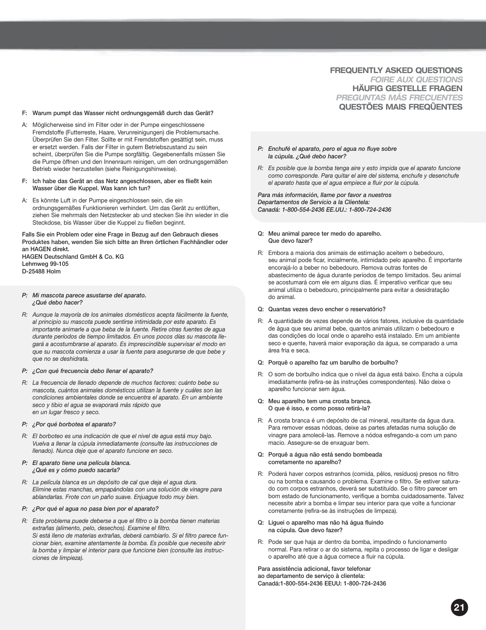#### **FREQUENTLY ASKED QUESTIONS** *FOIRE AUX QUESTIONS* **HÄUFIG GESTELLE FRAGEN** *PREGUNTAS MÁS FRECUENTES* **QUESTÕES MAIS FREQÛENTES**

- **F: Warum pumpt das Wasser nicht ordnungsgemäß durch das Gerät?**
- A: Möglicherweise sind im Filter oder in der Pumpe eingeschlossene Fremdstoffe (Futterreste, Haare, Verunreinigungen) die Problemursache. Überprüfen Sie den Filter. Sollte er mit Fremdstoffen gesättigt sein, muss er ersetzt werden. Falls der Filter in gutem Betriebszustand zu sein scheint, überprüfen Sie die Pumpe sorgfältig. Gegebenenfalls müssen Sie die Pumpe öffnen und den Innenraum reinigen, um den ordnungsgemäßen Betrieb wieder herzustellen (siehe Reinigungshinweise).
- **F: Ich habe das Gerät an das Netz angeschlossen, aber es fließt kein Wasser über die Kuppel. Was kann ich tun?**
- A: Es könnte Luft in der Pumpe eingeschlossen sein, die ein ordnungsgemäßes Funktionieren verhindert. Um das Gerät zu entlüften, ziehen Sie mehrmals den Netzstecker ab und stecken Sie ihn wieder in die Steckdose, bis Wasser über die Kuppel zu fließen beginnt.

**Falls Sie ein Problem oder eine Frage in Bezug auf den Gebrauch dieses Produktes haben, wenden Sie sich bitte an Ihren örtlichen Fachhändler oder an HAGEN direkt. HAGEN Deutschland GmbH & Co. KG Lehmweg 99-105**

*P: Mi mascota parece asustarse del aparato. ¿Qué debo hacer?*

**D-25488 Holm**

- *R: Aunque la mayoría de los animales domésticos acepta fácilmente la fuente, al principio su mascota puede sentirse intimidada por este aparato. Es importante animarle a que beba de la fuente. Retire otras fuentes de agua durante períodos de tiempo limitados. En unos pocos días su mascota llegará a acostumbrarse al aparato. Es imprescindible supervisar el modo en que su mascota comienza a usar la fuente para asegurarse de que bebe y que no se deshidrata.*
- *P: ¿Con qué frecuencia debo llenar el aparato?*
- *R: La frecuencia de llenado depende de muchos factores: cuánto bebe su mascota, cuántos animales domésticos utilizan la fuente y cuáles son las condiciones ambientales donde se encuentra el aparato. En un ambiente seco y tibio el agua se evaporará más rápido que en un lugar fresco y seco.*
- *P: ¿Por qué borbotea el aparato?*
- *R: El borboteo es una indicación de que el nivel de agua está muy bajo. Vuelva a llenar la cúpula inmediatamente (consulte las instrucciones de llenado). Nunca deje que el aparato funcione en seco.*
- *P: El aparato tiene una película blanca. ¿Qué es y cómo puedo sacarla?*
- *R: La película blanca es un depósito de cal que deja el agua dura. Elimine estas manchas, empapándolas con una solución de vinagre para ablandarlas. Frote con un paño suave. Enjuague todo muy bien.*
- *P: ¿Por qué el agua no pasa bien por el aparato?*
- *R: Este problema puede deberse a que el filtro o la bomba tienen materias extrañas (alimento, pelo, desechos). Examine el filtro. Si está lleno de materias extrañas, deberá cambiarlo. Si el filtro parece funcionar bien, examine atentamente la bomba. Es posible que necesite abrir la bomba y limpiar el interior para que funcione bien (consulte las instrucciones de limpieza).*
- *P: Enchufé el aparato, pero el agua no fluye sobre la cúpula. ¿Qué debo hacer?*
- *R: Es posible que la bomba tenga aire y esto impida que el aparato funcione como corresponde. Para quitar el aire del sistema, enchufe y desenchufe el aparato hasta que el agua empiece a fluir por la cúpula.*

*Para más información, llame por favor a nuestros Departamentos de Servicio a la Clientela: Canadá: 1-800-554-2436 EE.UU.: 1-800-724-2436*

- **Q: Meu animal parece ter medo do aparelho. Que devo fazer?**
- R: Embora a maioria dos animais de estimação aceitem o bebedouro, seu animal pode ficar, incialmente, intimidado pelo aparelho. É importante encorajá-lo a beber no bebedouro. Remova outras fontes de abastecimento de água durante períodos de tempo limitados. Seu animal se acostumará com ele em alguns dias. É imperativo verificar que seu animal utiliza o bebedouro, principalmente para evitar a desidratação do animal.
- **Q: Quantas vezes devo encher o reservatório?**
- R: A quantidade de vezes depende de vários fatores, inclusive da quantidade de água que seu animal bebe, quantos animais utilizam o bebedouro e das condições do local onde o aparelho está instalado. Em um ambiente seco e quente, haverá maior evaporação da água, se comparado a uma área fria e seca.
- **Q: Porquê o aparelho faz um barulho de borbulho?**
- R: O som de borbulho indica que o nível da água está baixo. Encha a cúpula imediatamente (refira-se às instruções correspondentes). Não deixe o aparelho funcionar sem água.
- **Q: Meu aparelho tem uma crosta branca. O que é isso, e como posso retirá-la?**
- R: A crosta branca é um depósito de cal mineral, resultante da água dura. Para remover essas nódoas, deixe as partes afetadas numa solução de vinagre para amolecê-las. Remove a nódoa esfregando-a com um pano macio. Assegure-se de enxaguar bem.
- **Q: Porquê a água não está sendo bombeada corretamente no aparelho?**
- R: Poderá haver corpos estranhos (comida, pêlos, resíduos) presos no filtro ou na bomba e causando o problema. Examine o filtro. Se estiver saturado com corpos estranhos, deverá ser substituído. Se o filtro parecer em bom estado de funcionamento, verifique a bomba cuidadosamente. Talvez necessite abrir a bomba e limpar seu interior para que volte a funcionar corretamente (refira-se às instruções de limpeza).
- **Q: Liguei o aparelho mas não há água fluindo na cúpula. Que devo fazer?**
- R: Pode ser que haja ar dentro da bomba, impedindo o funcionamento normal. Para retirar o ar do sistema, repita o processo de ligar e desligar o aparelho até que a água comece a fluir na cúpula.

**Para assistência adicional, favor telefonar ao departamento de serviço à clientela: Canadá:1-800-554-2436 EEUU: 1-800-724-2436**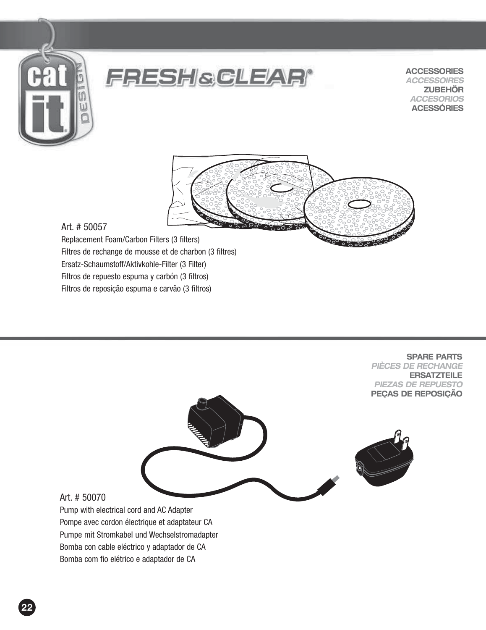



**ACCESSORIES** *ACCESSOIRES* **ZUBEHÖR** *ACCESORIOS* **ACESSÓRIES**



#### Art. # 50057

Replacement Foam/Carbon Filters (3 filters) Filtres de rechange de mousse et de charbon (3 filtres) Ersatz-Schaumstoff/Aktivkohle-Filter (3 Filter) Filtros de repuesto espuma y carbón (3 filtros) Filtros de reposição espuma e carvão (3 filtros)

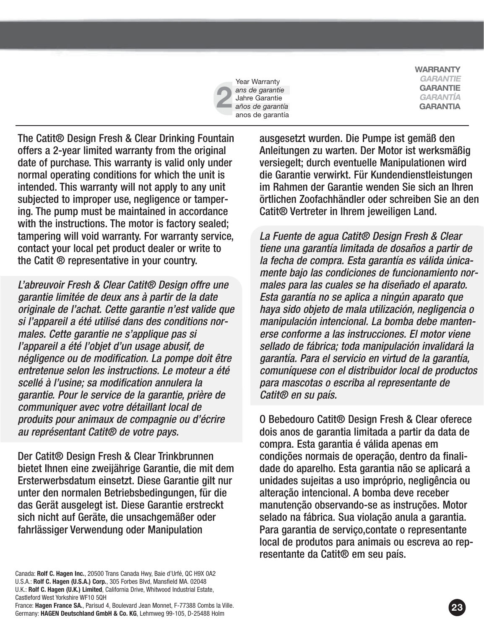

**WARRANTY** *GARANTIE* **GARANTIE** *GARANTÍA* **GARANTIA**

The Catit® Design Fresh & Clear Drinking Fountain offers a 2-year limited warranty from the original date of purchase. This warranty is valid only under normal operating conditions for which the unit is intended. This warranty will not apply to any unit subjected to improper use, negligence or tampering. The pump must be maintained in accordance with the instructions. The motor is factory sealed; tampering will void warranty. For warranty service, contact your local pet product dealer or write to the Catit ® representative in your country.

L'abreuvoir Fresh & Clear Catit® Design offre une garantie limitée de deux ans à partir de la date originale de l'achat. Cette garantie n'est valide que si l'appareil a été utilisé dans des conditions normales. Cette garantie ne s'applique pas si l'appareil a été l'objet d'un usage abusif, de négligence ou de modification. La pompe doit être entretenue selon les instructions. Le moteur a été scellé à l'usine; sa modification annulera la garantie. Pour le service de la garantie, prière de communiquer avec votre détaillant local de produits pour animaux de compagnie ou d'écrire au représentant Catit® de votre pays.

Der Catit® Design Fresh & Clear Trinkbrunnen bietet Ihnen eine zweijährige Garantie, die mit dem Ersterwerbsdatum einsetzt. Diese Garantie gilt nur unter den normalen Betriebsbedingungen, für die das Gerät ausgelegt ist. Diese Garantie erstreckt sich nicht auf Geräte, die unsachgemäßer oder fahrlässiger Verwendung oder Manipulation

Canada: **Rolf C. Hagen Inc.**, 20500 Trans Canada Hwy, Baie d'Urfé, QC H9X 0A2 U.S.A.: **Rolf C. Hagen (U.S.A.) Corp.**, 305 Forbes Blvd, Mansfield MA. 02048 U.K.: **Rolf C. Hagen (U.K.) Limited**, California Drive, Whitwood Industrial Estate, Castleford West Yorkshire WF10 5QH

France: **Hagen France SA.**, Parisud 4, Boulevard Jean Monnet, F-77388 Combs la Ville. Germany: **HAGEN Deutschland GmbH & Co. KG**, Lehmweg 99-105, D-25488 Holm

ausgesetzt wurden. Die Pumpe ist gemäß den Anleitungen zu warten. Der Motor ist werksmäßig versiegelt; durch eventuelle Manipulationen wird die Garantie verwirkt. Für Kundendienstleistungen im Rahmen der Garantie wenden Sie sich an Ihren örtlichen Zoofachhändler oder schreiben Sie an den Catit® Vertreter in Ihrem jeweiligen Land.

La Fuente de agua Catit® Design Fresh & Clear tiene una garantía limitada de dosaños a partir de la fecha de compra. Esta garantía es válida únicamente bajo las condiciones de funcionamiento normales para las cuales se ha diseñado el aparato. Esta garantía no se aplica a ningún aparato que haya sido objeto de mala utilización, negligencia o manipulación intencional. La bomba debe mantenerse conforme a las instrucciones. El motor viene sellado de fábrica; toda manipulación invalidará la garantía. Para el servicio en virtud de la garantía, comuníquese con el distribuidor local de productos para mascotas o escriba al representante de Catit® en su país.

O Bebedouro Catit® Design Fresh & Clear oferece dois anos de garantia limitada a partir da data de compra. Esta garantia é válida apenas em condições normais de operação, dentro da finalidade do aparelho. Esta garantia não se aplicará a unidades sujeitas a uso impróprio, negligência ou alteração intencional. A bomba deve receber manutenção observando-se as instruções. Motor selado na fábrica. Sua violação anula a garantia. Para garantia de serviço,contate o representante local de produtos para animais ou escreva ao representante da Catit® em seu país.

**23**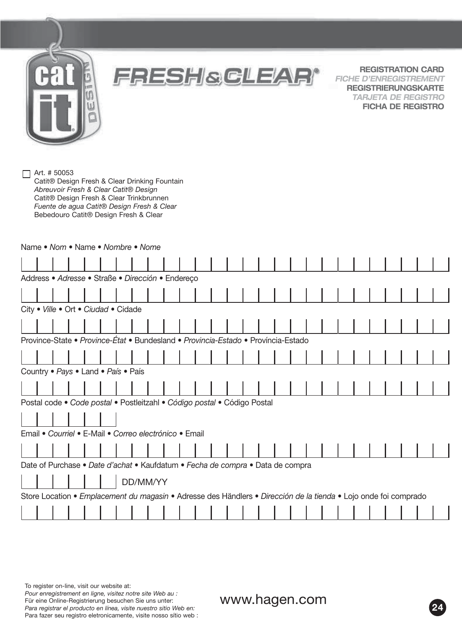**FRESH&CLEAR® REGISTRATION CARD**

*FICHE D'ENREGISTREMENT* **REGISTRIERUNGSKARTE** *TARJETA DE REGISTRO* **FICHA DE REGISTRO**

Art. # 50053

Catit® Design Fresh & Clear Drinking Fountain *Abreuvoir Fresh & Clear Catit® Design* Catit® Design Fresh & Clear Trinkbrunnen *Fuente de agua Catit® Design Fresh & Clear* Bebedouro Catit® Design Fresh & Clear

| Name • Nom • Name • Nombre • Nome                                                                                |  |  |  |  |  |  |  |  |  |  |  |  |  |  |
|------------------------------------------------------------------------------------------------------------------|--|--|--|--|--|--|--|--|--|--|--|--|--|--|
|                                                                                                                  |  |  |  |  |  |  |  |  |  |  |  |  |  |  |
| Address · Adresse · Straße · Dirección · Endereço                                                                |  |  |  |  |  |  |  |  |  |  |  |  |  |  |
|                                                                                                                  |  |  |  |  |  |  |  |  |  |  |  |  |  |  |
| City . Ville . Ort . Ciudad . Cidade                                                                             |  |  |  |  |  |  |  |  |  |  |  |  |  |  |
|                                                                                                                  |  |  |  |  |  |  |  |  |  |  |  |  |  |  |
| Province-State • Province-État • Bundesland • Provincia-Estado • Província-Estado                                |  |  |  |  |  |  |  |  |  |  |  |  |  |  |
|                                                                                                                  |  |  |  |  |  |  |  |  |  |  |  |  |  |  |
| Country • Pays • Land • País • País                                                                              |  |  |  |  |  |  |  |  |  |  |  |  |  |  |
|                                                                                                                  |  |  |  |  |  |  |  |  |  |  |  |  |  |  |
| Postal code . Code postal . Postleitzahl . Código postal . Código Postal                                         |  |  |  |  |  |  |  |  |  |  |  |  |  |  |
|                                                                                                                  |  |  |  |  |  |  |  |  |  |  |  |  |  |  |
| Email • Courriel • E-Mail • Correo electrónico • Email                                                           |  |  |  |  |  |  |  |  |  |  |  |  |  |  |
|                                                                                                                  |  |  |  |  |  |  |  |  |  |  |  |  |  |  |
| Date of Purchase • Date d'achat • Kaufdatum • Fecha de compra • Data de compra                                   |  |  |  |  |  |  |  |  |  |  |  |  |  |  |
| DD/MM/YY                                                                                                         |  |  |  |  |  |  |  |  |  |  |  |  |  |  |
| Store Location • Emplacement du magasin • Adresse des Händlers • Dirección de la tienda • Lojo onde foi comprado |  |  |  |  |  |  |  |  |  |  |  |  |  |  |
|                                                                                                                  |  |  |  |  |  |  |  |  |  |  |  |  |  |  |

To register on-line, visit our website at: *Pour enregistrement en ligne, visitez notre site Web au :* Für eine Online-Registrierung besuchen Sie uns unter: *Para registrar el producto en línea, visite nuestro sitio Web en:* Para fazer seu registro eletronicamente, visite nosso sítio web :

www.hagen.com **<sup>24</sup>**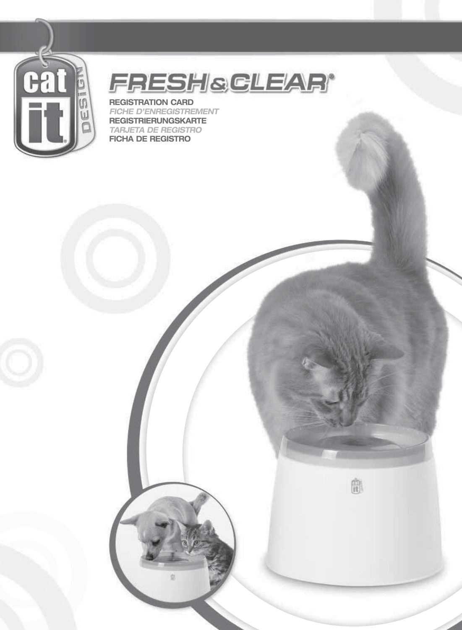

## **FRESHSGLEAR®**

曲

**REGISTRATION CARD** *FICHE D'ENREGISTREMENT* **REGISTRIERUNGSKARTE** *TARJETA DE REGISTRO* **FICHA DE REGISTRO**